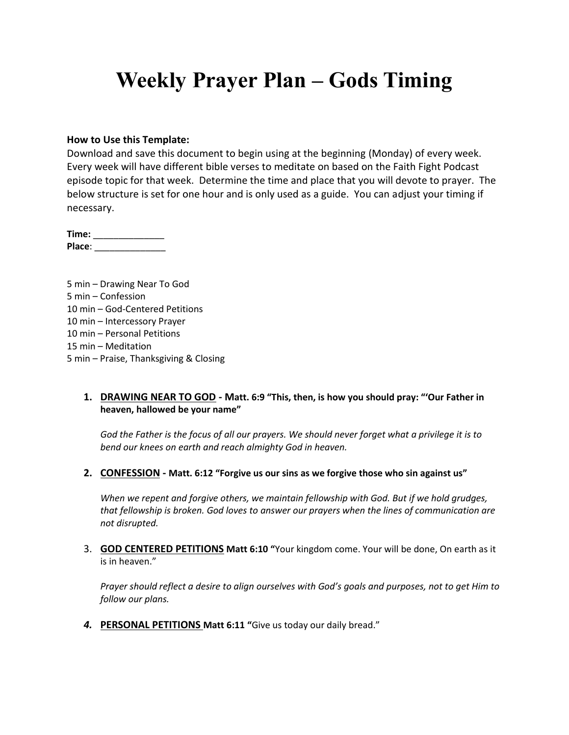## **Weekly Prayer Plan – Gods Timing**

### **How to Use this Template:**

Download and save this document to begin using at the beginning (Monday) of every week. Every week will have different bible verses to meditate on based on the Faith Fight Podcast episode topic for that week. Determine the time and place that you will devote to prayer. The below structure is set for one hour and is only used as a guide. You can adjust your timing if necessary.

**Time:** \_\_\_\_\_\_\_\_\_\_\_\_\_\_ **Place**: \_\_\_\_\_\_\_\_\_\_\_\_\_\_

5 min – Drawing Near To God 5 min – Confession 10 min – God-Centered Petitions 10 min – Intercessory Prayer 10 min – Personal Petitions 15 min – Meditation 5 min – Praise, Thanksgiving & Closing

### **1. DRAWING NEAR TO GOD - Matt. 6:9 "This, then, is how you should pray: "'Our Father in heaven, hallowed be your name"**

*God the Father is the focus of all our prayers. We should never forget what a privilege it is to bend our knees on earth and reach almighty God in heaven.*

**2. CONFESSION - Matt. 6:12 "Forgive us our sins as we forgive those who sin against us"**

*When we repent and forgive others, we maintain fellowship with God. But if we hold grudges, that fellowship is broken. God loves to answer our prayers when the lines of communication are not disrupted.*

3. **GOD CENTERED PETITIONS Matt 6:10 "**Your kingdom come. Your will be done, On earth as it is in heaven."

*Prayer should reflect a desire to align ourselves with God's goals and purposes, not to get Him to follow our plans.*

*4.* **PERSONAL PETITIONS Matt 6:11 "**Give us today our daily bread."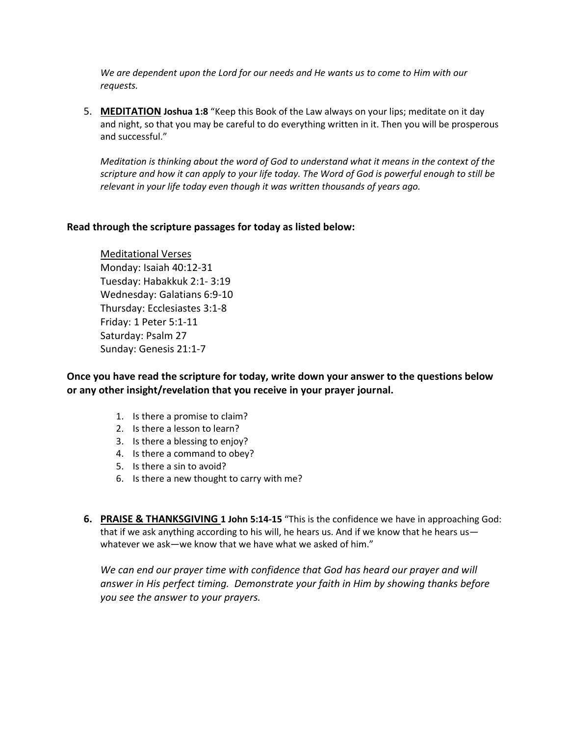*We are dependent upon the Lord for our needs and He wants us to come to Him with our requests.*

5. **MEDITATION Joshua 1:8** "Keep this Book of the Law always on your lips; meditate on it day and night, so that you may be careful to do everything written in it. Then you will be prosperous and successful."

*Meditation is thinking about the word of God to understand what it means in the context of the scripture and how it can apply to your life today. The Word of God is powerful enough to still be relevant in your life today even though it was written thousands of years ago.*

## **Read through the scripture passages for today as listed below:**

Meditational Verses Monday: Isaiah 40:12-31 Tuesday: Habakkuk 2:1- 3:19 Wednesday: Galatians 6:9-10 Thursday: Ecclesiastes 3:1-8 Friday: 1 Peter 5:1-11 Saturday: Psalm 27 Sunday: Genesis 21:1-7

**Once you have read the scripture for today, write down your answer to the questions below or any other insight/revelation that you receive in your prayer journal.** 

- 1. Is there a promise to claim?
- 2. Is there a lesson to learn?
- 3. Is there a blessing to enjoy?
- 4. Is there a command to obey?
- 5. Is there a sin to avoid?
- 6. Is there a new thought to carry with me?
- **6. PRAISE & THANKSGIVING 1 John 5:14-15** "This is the confidence we have in approaching God: that if we ask anything according to his will, he hears us. And if we know that he hears us whatever we ask—we know that we have what we asked of him."

We can end our prayer time with confidence that God has heard our prayer and will *answer in His perfect timing. Demonstrate your faith in Him by showing thanks before you see the answer to your prayers.*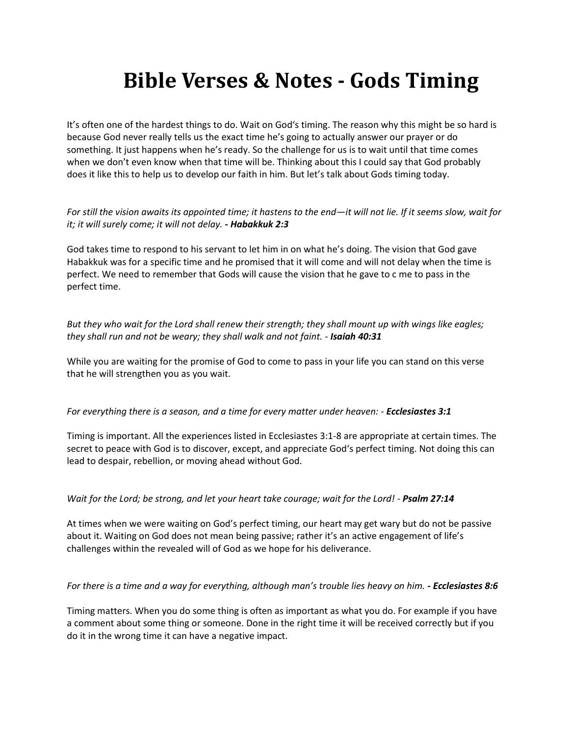# **Bible Verses & Notes - Gods Timing**

It's often one of the hardest things to do. Wait on God's timing. The reason why this might be so hard is because God never really tells us the exact time he's going to actually answer our prayer or do something. It just happens when he's ready. So the challenge for us is to wait until that time comes when we don't even know when that time will be. Thinking about this I could say that God probably does it like this to help us to develop our faith in him. But let's talk about Gods timing today.

*For still the vision awaits its appointed time; it hastens to the end—it will not lie. If it seems slow, wait for it; it will surely come; it will not delay. - Habakkuk 2:3*

God takes time to respond to his servant to let him in on what he's doing. The vision that God gave Habakkuk was for a specific time and he promised that it will come and will not delay when the time is perfect. We need to remember that Gods will cause the vision that he gave to c me to pass in the perfect time.

*But they who wait for the Lord shall renew their strength; they shall mount up with wings like eagles; they shall run and not be weary; they shall walk and not faint. - Isaiah 40:31*

While you are waiting for the promise of God to come to pass in your life you can stand on this verse that he will strengthen you as you wait.

### *For everything there is a season, and a time for every matter under heaven: - Ecclesiastes 3:1*

Timing is important. All the experiences listed in Ecclesiastes 3:1-8 are appropriate at certain times. The secret to peace with God is to discover, except, and appreciate God's perfect timing. Not doing this can lead to despair, rebellion, or moving ahead without God.

### *Wait for the Lord; be strong, and let your heart take courage; wait for the Lord! - Psalm 27:14*

At times when we were waiting on God's perfect timing, our heart may get wary but do not be passive about it. Waiting on God does not mean being passive; rather it's an active engagement of life's challenges within the revealed will of God as we hope for his deliverance.

### *For there is a time and a way for everything, although man's trouble lies heavy on him. - Ecclesiastes 8:6*

Timing matters. When you do some thing is often as important as what you do. For example if you have a comment about some thing or someone. Done in the right time it will be received correctly but if you do it in the wrong time it can have a negative impact.